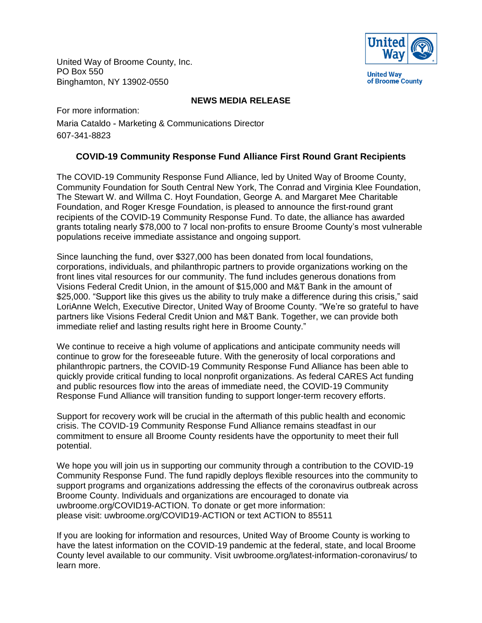United Way of Broome County, Inc. PO Box 550 Binghamton, NY 13902-0550



## **NEWS MEDIA RELEASE**

For more information:

Maria Cataldo - Marketing & Communications Director 607-341-8823

## **COVID-19 Community Response Fund Alliance First Round Grant Recipients**

The COVID-19 Community Response Fund Alliance, led by United Way of Broome County, Community Foundation for South Central New York, The Conrad and Virginia Klee Foundation, The Stewart W. and Willma C. Hoyt Foundation, George A. and Margaret Mee Charitable Foundation, and Roger Kresge Foundation, is pleased to announce the first-round grant recipients of the COVID-19 Community Response Fund. To date, the alliance has awarded grants totaling nearly \$78,000 to 7 local non-profits to ensure Broome County's most vulnerable populations receive immediate assistance and ongoing support.

Since launching the fund, over \$327,000 has been donated from local foundations, corporations, individuals, and philanthropic partners to provide organizations working on the front lines vital resources for our community. The fund includes generous donations from Visions Federal Credit Union, in the amount of \$15,000 and M&T Bank in the amount of \$25,000. "Support like this gives us the ability to truly make a difference during this crisis," said LoriAnne Welch, Executive Director, United Way of Broome County. "We're so grateful to have partners like Visions Federal Credit Union and M&T Bank. Together, we can provide both immediate relief and lasting results right here in Broome County."

We continue to receive a high volume of applications and anticipate community needs will continue to grow for the foreseeable future. With the generosity of local corporations and philanthropic partners, the COVID-19 Community Response Fund Alliance has been able to quickly provide critical funding to local nonprofit organizations. As federal CARES Act funding and public resources flow into the areas of immediate need, the COVID-19 Community Response Fund Alliance will transition funding to support longer-term recovery efforts.

Support for recovery work will be crucial in the aftermath of this public health and economic crisis. The COVID-19 Community Response Fund Alliance remains steadfast in our commitment to ensure all Broome County residents have the opportunity to meet their full potential.

We hope you will join us in supporting our community through a contribution to the COVID-19 Community Response Fund. The fund rapidly deploys flexible resources into the community to support programs and organizations addressing the effects of the coronavirus outbreak across Broome County. Individuals and organizations are encouraged to donate via uwbroome.org/COVID19-ACTION. To donate or get more information: please visit: uwbroome.org/COVID19-ACTION or text ACTION to 85511

If you are looking for information and resources, United Way of Broome County is working to have the latest information on the COVID-19 pandemic at the federal, state, and local Broome County level available to our community. Visit uwbroome.org/latest-information-coronavirus/ to learn more.